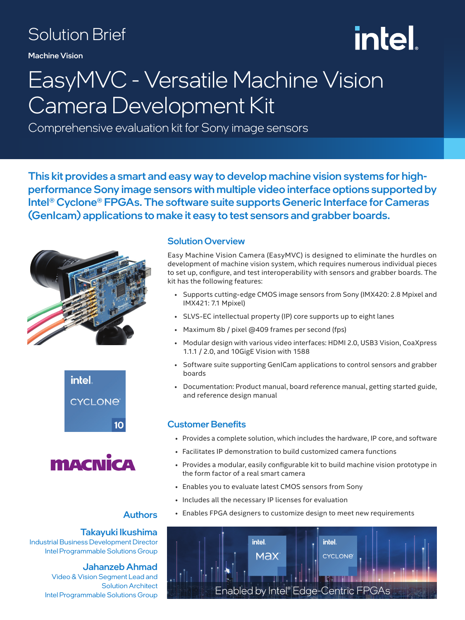### Solution Brief

Machine Vision

# intel.

### EasyMVC - Versatile Machine Vision Camera Development Kit

Comprehensive evaluation kit for Sony image sensors

This kit provides a smart and easy way to develop machine vision systems for highperformance Sony image sensors with multiple video interface options supported by Intel® Cyclone® FPGAs. The software suite supports Generic Interface for Cameras (GenIcam) applications to make it easy to test sensors and grabber boards.







#### Authors

Takayuki Ikushima Industrial Business Development Director Intel Programmable Solutions Group

#### Jahanzeb Ahmad

Video & Vision Segment Lead and Solution Architect Intel Programmable Solutions Group

#### Solution Overview

Easy Machine Vision Camera (EasyMVC) is designed to eliminate the hurdles on development of machine vision system, which requires numerous individual pieces to set up, configure, and test interoperability with sensors and grabber boards. The kit has the following features:

- Supports cutting-edge CMOS image sensors from Sony (IMX420: 2.8 Mpixel and IMX421: 7.1 Mpixel)
- SLVS-EC intellectual property (IP) core supports up to eight lanes
- Maximum 8b / pixel @409 frames per second (fps)
- Modular design with various video interfaces: HDMI 2.0, USB3 Vision, CoaXpress 1.1.1 / 2.0, and 10GigE Vision with 1588
- Software suite supporting GenICam applications to control sensors and grabber boards
- Documentation: Product manual, board reference manual, getting started guide, and reference design manual

#### Customer Benefits

- Provides a complete solution, which includes the hardware, IP core, and software
- Facilitates IP demonstration to build customized camera functions
- Provides a modular, easily configurable kit to build machine vision prototype in the form factor of a real smart camera
- Enables you to evaluate latest CMOS sensors from Sony
- Includes all the necessary IP licenses for evaluation
- Enables FPGA designers to customize design to meet new requirements